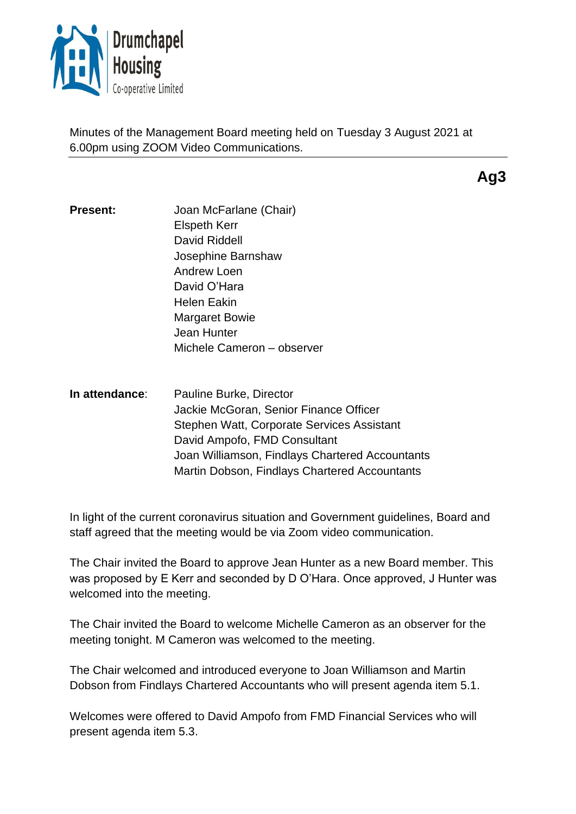

Minutes of the Management Board meeting held on Tuesday 3 August 2021 at 6.00pm using ZOOM Video Communications.

**Ag3**

- **Present:** Joan McFarlane (Chair) Elspeth Kerr David Riddell Josephine Barnshaw Andrew Loen David O'Hara Helen Eakin Margaret Bowie Jean Hunter Michele Cameron – observer
- **In attendance**: Pauline Burke, Director Jackie McGoran, Senior Finance Officer Stephen Watt, Corporate Services Assistant David Ampofo, FMD Consultant Joan Williamson, Findlays Chartered Accountants Martin Dobson, Findlays Chartered Accountants

In light of the current coronavirus situation and Government guidelines, Board and staff agreed that the meeting would be via Zoom video communication.

The Chair invited the Board to approve Jean Hunter as a new Board member. This was proposed by E Kerr and seconded by D O'Hara. Once approved, J Hunter was welcomed into the meeting.

The Chair invited the Board to welcome Michelle Cameron as an observer for the meeting tonight. M Cameron was welcomed to the meeting.

The Chair welcomed and introduced everyone to Joan Williamson and Martin Dobson from Findlays Chartered Accountants who will present agenda item 5.1.

Welcomes were offered to David Ampofo from FMD Financial Services who will present agenda item 5.3.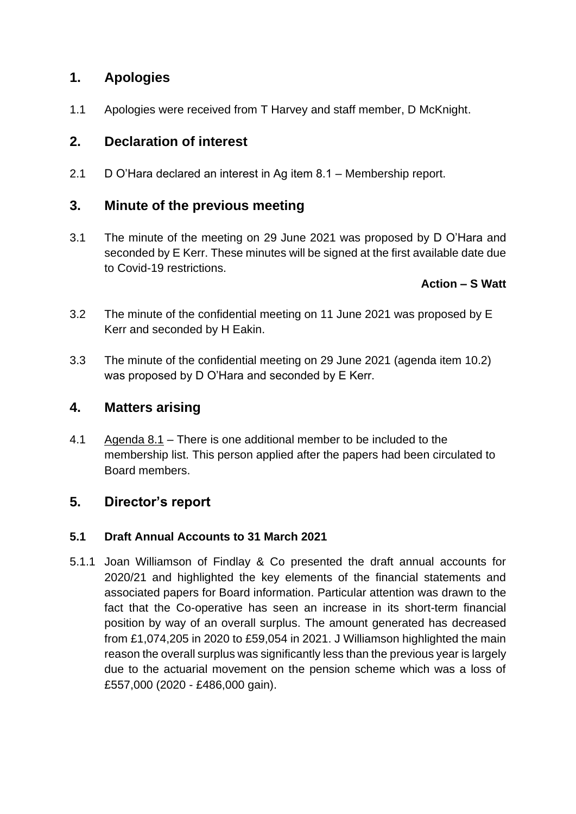# **1. Apologies**

1.1 Apologies were received from T Harvey and staff member, D McKnight.

# **2. Declaration of interest**

2.1 D O'Hara declared an interest in Ag item 8.1 – Membership report.

## **3. Minute of the previous meeting**

3.1 The minute of the meeting on 29 June 2021 was proposed by D O'Hara and seconded by E Kerr. These minutes will be signed at the first available date due to Covid-19 restrictions.

## **Action – S Watt**

- 3.2 The minute of the confidential meeting on 11 June 2021 was proposed by E Kerr and seconded by H Eakin.
- 3.3 The minute of the confidential meeting on 29 June 2021 (agenda item 10.2) was proposed by D O'Hara and seconded by E Kerr.

## **4. Matters arising**

4.1 Agenda 8.1 – There is one additional member to be included to the membership list. This person applied after the papers had been circulated to Board members.

# **5. Director's report**

### **5.1 Draft Annual Accounts to 31 March 2021**

5.1.1 Joan Williamson of Findlay & Co presented the draft annual accounts for 2020/21 and highlighted the key elements of the financial statements and associated papers for Board information. Particular attention was drawn to the fact that the Co-operative has seen an increase in its short-term financial position by way of an overall surplus. The amount generated has decreased from £1,074,205 in 2020 to £59,054 in 2021. J Williamson highlighted the main reason the overall surplus was significantly less than the previous year is largely due to the actuarial movement on the pension scheme which was a loss of £557,000 (2020 - £486,000 gain).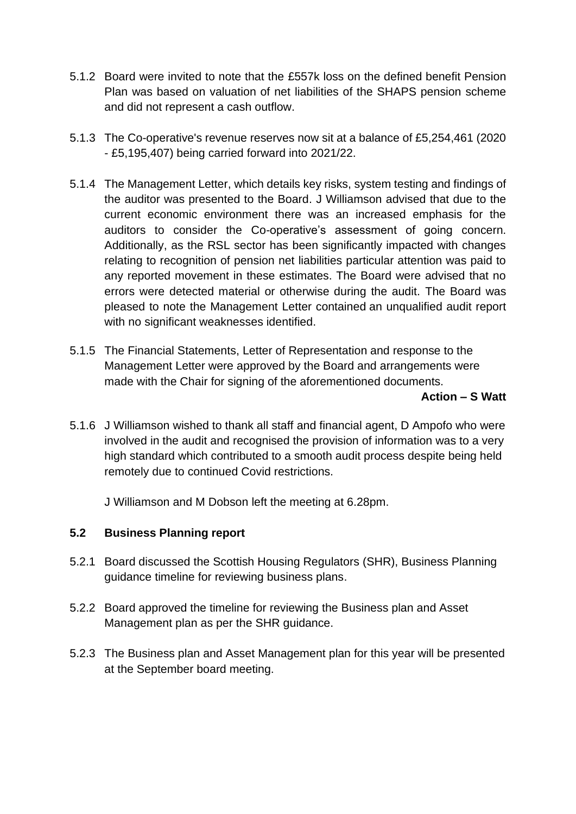- 5.1.2 Board were invited to note that the £557k loss on the defined benefit Pension Plan was based on valuation of net liabilities of the SHAPS pension scheme and did not represent a cash outflow.
- 5.1.3 The Co-operative's revenue reserves now sit at a balance of £5,254,461 (2020 - £5,195,407) being carried forward into 2021/22.
- 5.1.4 The Management Letter, which details key risks, system testing and findings of the auditor was presented to the Board. J Williamson advised that due to the current economic environment there was an increased emphasis for the auditors to consider the Co-operative's assessment of going concern. Additionally, as the RSL sector has been significantly impacted with changes relating to recognition of pension net liabilities particular attention was paid to any reported movement in these estimates. The Board were advised that no errors were detected material or otherwise during the audit. The Board was pleased to note the Management Letter contained an unqualified audit report with no significant weaknesses identified.
- 5.1.5 The Financial Statements, Letter of Representation and response to the Management Letter were approved by the Board and arrangements were made with the Chair for signing of the aforementioned documents.

#### **Action – S Watt**

5.1.6 J Williamson wished to thank all staff and financial agent, D Ampofo who were involved in the audit and recognised the provision of information was to a very high standard which contributed to a smooth audit process despite being held remotely due to continued Covid restrictions.

J Williamson and M Dobson left the meeting at 6.28pm.

#### **5.2 Business Planning report**

- 5.2.1 Board discussed the Scottish Housing Regulators (SHR), Business Planning guidance timeline for reviewing business plans.
- 5.2.2 Board approved the timeline for reviewing the Business plan and Asset Management plan as per the SHR guidance.
- 5.2.3 The Business plan and Asset Management plan for this year will be presented at the September board meeting.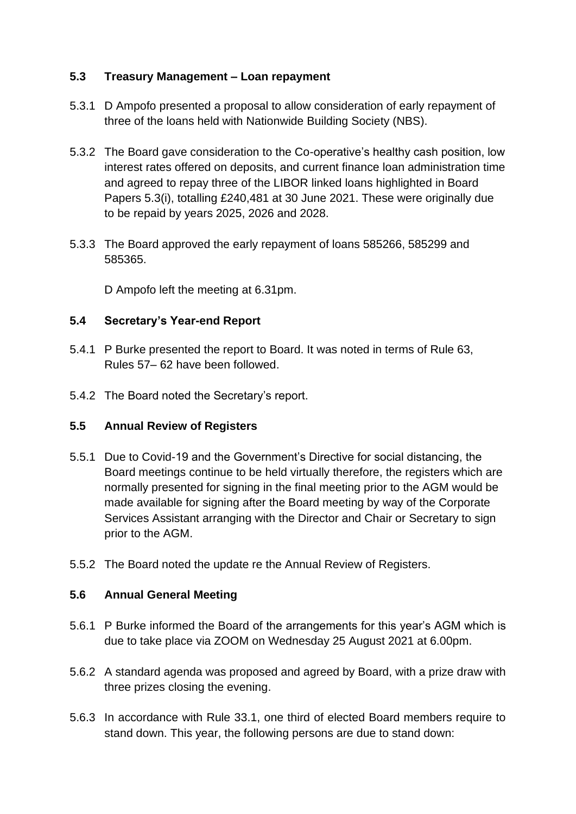### **5.3 Treasury Management – Loan repayment**

- 5.3.1 D Ampofo presented a proposal to allow consideration of early repayment of three of the loans held with Nationwide Building Society (NBS).
- 5.3.2 The Board gave consideration to the Co-operative's healthy cash position, low interest rates offered on deposits, and current finance loan administration time and agreed to repay three of the LIBOR linked loans highlighted in Board Papers 5.3(i), totalling £240,481 at 30 June 2021. These were originally due to be repaid by years 2025, 2026 and 2028.
- 5.3.3 The Board approved the early repayment of loans 585266, 585299 and 585365.

D Ampofo left the meeting at 6.31pm.

## **5.4 Secretary's Year-end Report**

- 5.4.1 P Burke presented the report to Board. It was noted in terms of Rule 63, Rules 57– 62 have been followed.
- 5.4.2 The Board noted the Secretary's report.

### **5.5 Annual Review of Registers**

- 5.5.1 Due to Covid-19 and the Government's Directive for social distancing, the Board meetings continue to be held virtually therefore, the registers which are normally presented for signing in the final meeting prior to the AGM would be made available for signing after the Board meeting by way of the Corporate Services Assistant arranging with the Director and Chair or Secretary to sign prior to the AGM.
- 5.5.2 The Board noted the update re the Annual Review of Registers.

### **5.6 Annual General Meeting**

- 5.6.1 P Burke informed the Board of the arrangements for this year's AGM which is due to take place via ZOOM on Wednesday 25 August 2021 at 6.00pm.
- 5.6.2 A standard agenda was proposed and agreed by Board, with a prize draw with three prizes closing the evening.
- 5.6.3 In accordance with Rule 33.1, one third of elected Board members require to stand down. This year, the following persons are due to stand down: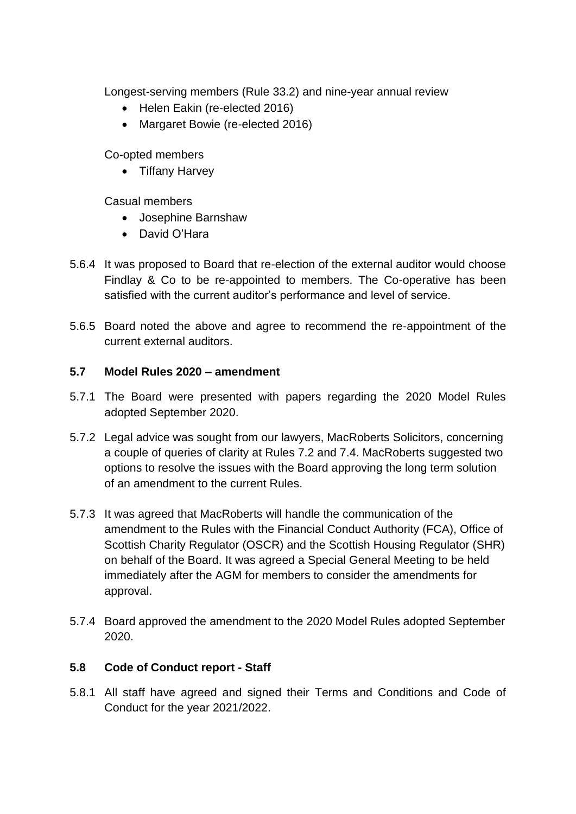Longest-serving members (Rule 33.2) and nine-year annual review

- Helen Eakin (re-elected 2016)
- Margaret Bowie (re-elected 2016)

Co-opted members

• Tiffany Harvey

Casual members

- Josephine Barnshaw
- David O'Hara
- 5.6.4 It was proposed to Board that re-election of the external auditor would choose Findlay & Co to be re-appointed to members. The Co-operative has been satisfied with the current auditor's performance and level of service.
- 5.6.5 Board noted the above and agree to recommend the re-appointment of the current external auditors.

#### **5.7 Model Rules 2020 – amendment**

- 5.7.1 The Board were presented with papers regarding the 2020 Model Rules adopted September 2020.
- 5.7.2 Legal advice was sought from our lawyers, MacRoberts Solicitors, concerning a couple of queries of clarity at Rules 7.2 and 7.4. MacRoberts suggested two options to resolve the issues with the Board approving the long term solution of an amendment to the current Rules.
- 5.7.3 It was agreed that MacRoberts will handle the communication of the amendment to the Rules with the Financial Conduct Authority (FCA), Office of Scottish Charity Regulator (OSCR) and the Scottish Housing Regulator (SHR) on behalf of the Board. It was agreed a Special General Meeting to be held immediately after the AGM for members to consider the amendments for approval.
- 5.7.4 Board approved the amendment to the 2020 Model Rules adopted September 2020.

### **5.8 Code of Conduct report - Staff**

5.8.1 All staff have agreed and signed their Terms and Conditions and Code of Conduct for the year 2021/2022.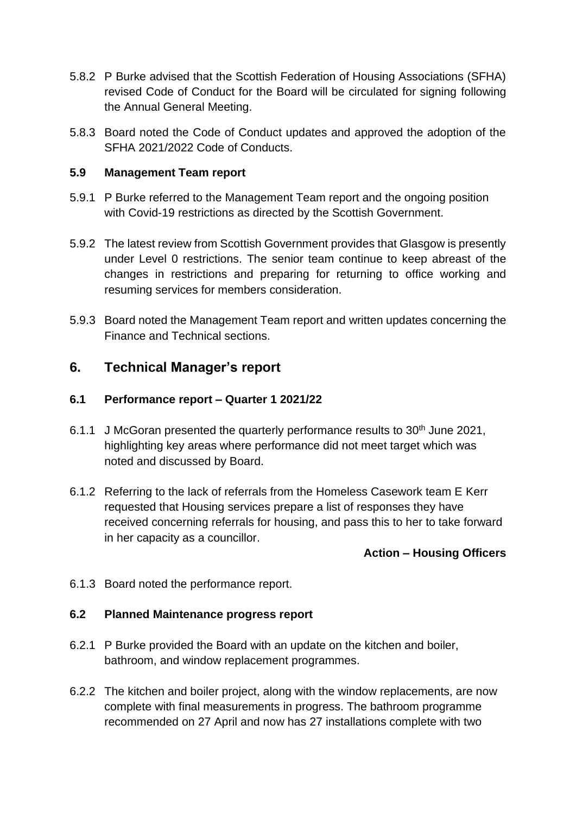- 5.8.2 P Burke advised that the Scottish Federation of Housing Associations (SFHA) revised Code of Conduct for the Board will be circulated for signing following the Annual General Meeting.
- 5.8.3 Board noted the Code of Conduct updates and approved the adoption of the SFHA 2021/2022 Code of Conducts.

#### **5.9 Management Team report**

- 5.9.1 P Burke referred to the Management Team report and the ongoing position with Covid-19 restrictions as directed by the Scottish Government.
- 5.9.2 The latest review from Scottish Government provides that Glasgow is presently under Level 0 restrictions. The senior team continue to keep abreast of the changes in restrictions and preparing for returning to office working and resuming services for members consideration.
- 5.9.3 Board noted the Management Team report and written updates concerning the Finance and Technical sections.

## **6. Technical Manager's report**

#### **6.1 Performance report – Quarter 1 2021/22**

- 6.1.1 J McGoran presented the quarterly performance results to 30<sup>th</sup> June 2021, highlighting key areas where performance did not meet target which was noted and discussed by Board.
- 6.1.2 Referring to the lack of referrals from the Homeless Casework team E Kerr requested that Housing services prepare a list of responses they have received concerning referrals for housing, and pass this to her to take forward in her capacity as a councillor.

#### **Action – Housing Officers**

6.1.3 Board noted the performance report.

#### **6.2 Planned Maintenance progress report**

- 6.2.1 P Burke provided the Board with an update on the kitchen and boiler, bathroom, and window replacement programmes.
- 6.2.2 The kitchen and boiler project, along with the window replacements, are now complete with final measurements in progress. The bathroom programme recommended on 27 April and now has 27 installations complete with two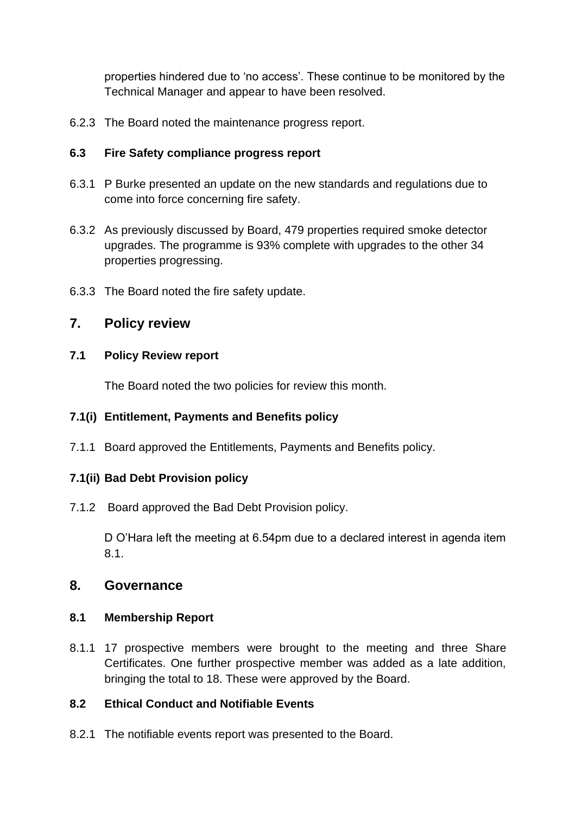properties hindered due to 'no access'. These continue to be monitored by the Technical Manager and appear to have been resolved.

6.2.3 The Board noted the maintenance progress report.

#### **6.3 Fire Safety compliance progress report**

- 6.3.1 P Burke presented an update on the new standards and regulations due to come into force concerning fire safety.
- 6.3.2 As previously discussed by Board, 479 properties required smoke detector upgrades. The programme is 93% complete with upgrades to the other 34 properties progressing.
- 6.3.3 The Board noted the fire safety update.

## **7. Policy review**

#### **7.1 Policy Review report**

The Board noted the two policies for review this month.

### **7.1(i) Entitlement, Payments and Benefits policy**

7.1.1 Board approved the Entitlements, Payments and Benefits policy.

### **7.1(ii) Bad Debt Provision policy**

7.1.2 Board approved the Bad Debt Provision policy.

D O'Hara left the meeting at 6.54pm due to a declared interest in agenda item 8.1.

### **8. Governance**

#### **8.1 Membership Report**

8.1.1 17 prospective members were brought to the meeting and three Share Certificates. One further prospective member was added as a late addition, bringing the total to 18. These were approved by the Board.

### **8.2 Ethical Conduct and Notifiable Events**

8.2.1 The notifiable events report was presented to the Board.